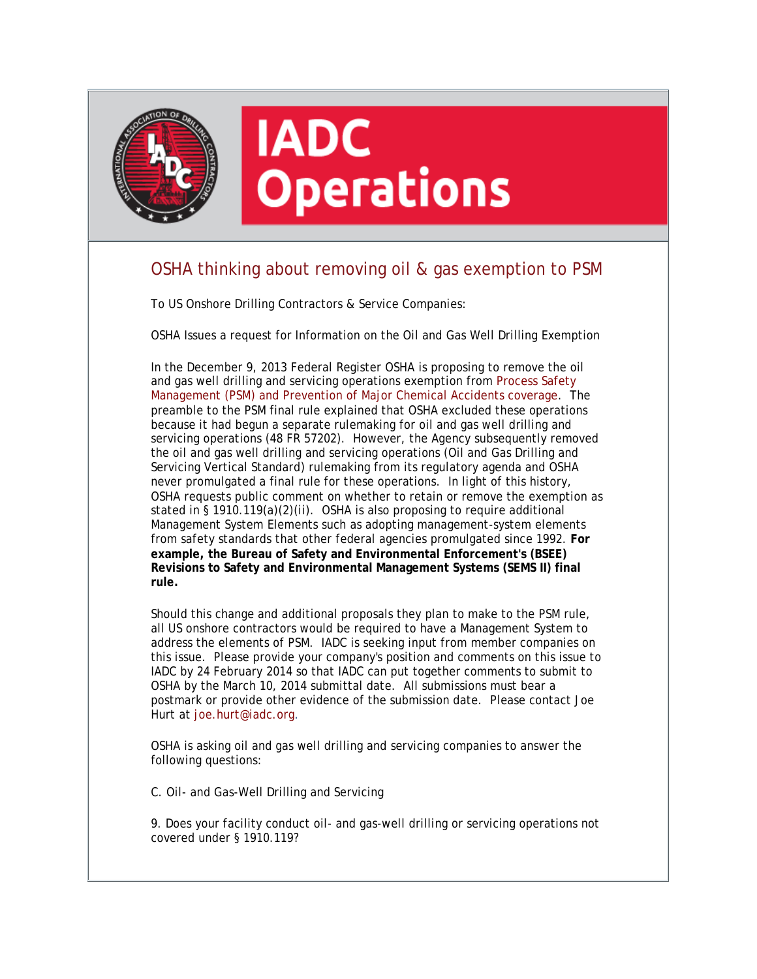

## **IADC Operations**

## OSHA thinking about removing oil & gas exemption to PSM

To US Onshore Drilling Contractors & Service Companies:

OSHA Issues a request for Information on the Oil and Gas Well Drilling Exemption

In the December 9, 2013 Federal Register OSHA is proposing to remove the oil and gas well drilling and servicing operations exemption from Process Safety Management (PSM) and Prevention of Major Chemical Accidents coverage. The preamble to the PSM final rule explained that OSHA excluded these operations because it had begun a separate rulemaking for oil and gas well drilling and servicing operations (48 FR 57202). However, the Agency subsequently removed the oil and gas well drilling and servicing operations (Oil and Gas Drilling and Servicing Vertical Standard) rulemaking from its regulatory agenda and OSHA never promulgated a final rule for these operations. In light of this history, OSHA requests public comment on whether to retain or remove the exemption as stated in § 1910.119(a)(2)(ii). OSHA is also proposing to require additional Management System Elements such as adopting management-system elements from safety standards that other federal agencies promulgated since 1992. **For example, the Bureau of Safety and Environmental Enforcement's (BSEE) Revisions to Safety and Environmental Management Systems (SEMS II) final rule.**

Should this change and additional proposals they plan to make to the PSM rule, all US onshore contractors would be required to have a Management System to address the elements of PSM. IADC is seeking input from member companies on this issue. Please provide your company's position and comments on this issue to IADC by 24 February 2014 so that IADC can put together comments to submit to OSHA by the March 10, 2014 submittal date. All submissions must bear a postmark or provide other evidence of the submission date. Please contact Joe Hurt at [joe.hurt@iadc.org.](mailto:joe.hurt@iadc.org)

OSHA is asking oil and gas well drilling and servicing companies to answer the following questions:

C. Oil- and Gas-Well Drilling and Servicing

9. Does your facility conduct oil- and gas-well drilling or servicing operations not covered under § 1910.119?